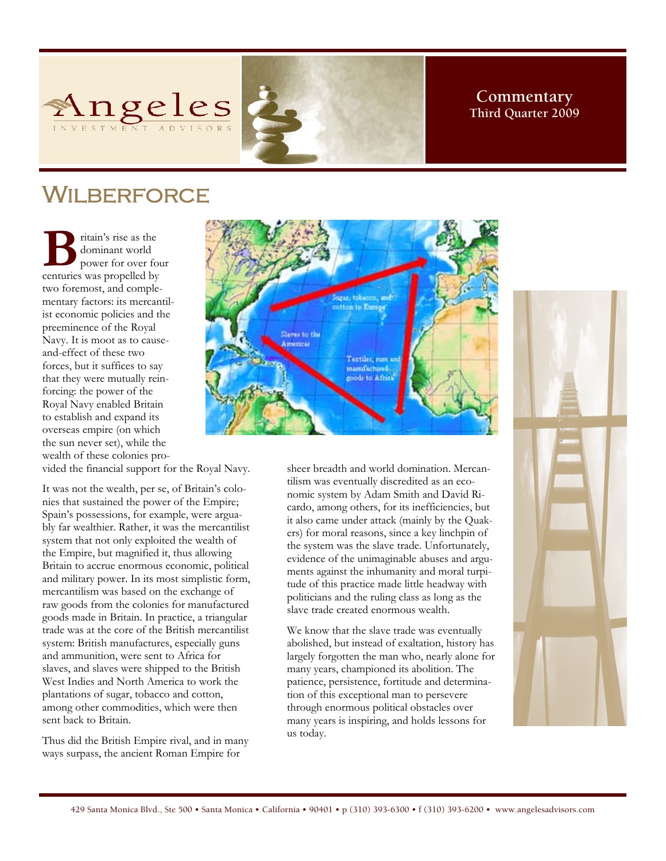



# Wilberforce

**B** ritain's rise as the dominant world<br>
power for over for<br>
centuries was propelled by dominant world power for over four two foremost, and complementary factors: its mercantilist economic policies and the preeminence of the Royal Navy. It is moot as to causeand-effect of these two forces, but it suffices to say that they were mutually reinforcing: the power of the Royal Navy enabled Britain to establish and expand its overseas empire (on which the sun never set), while the wealth of these colonies pro-



vided the financial support for the Royal Navy.

It was not the wealth, per se, of Britain's colonies that sustained the power of the Empire; Spain's possessions, for example, were arguably far wealthier. Rather, it was the mercantilist system that not only exploited the wealth of the Empire, but magnified it, thus allowing Britain to accrue enormous economic, political and military power. In its most simplistic form, mercantilism was based on the exchange of raw goods from the colonies for manufactured goods made in Britain. In practice, a triangular trade was at the core of the British mercantilist system: British manufactures, especially guns and ammunition, were sent to Africa for slaves, and slaves were shipped to the British West Indies and North America to work the plantations of sugar, tobacco and cotton, among other commodities, which were then sent back to Britain.

Thus did the British Empire rival, and in many ways surpass, the ancient Roman Empire for

sheer breadth and world domination. Mercantilism was eventually discredited as an economic system by Adam Smith and David Ricardo, among others, for its inefficiencies, but it also came under attack (mainly by the Quakers) for moral reasons, since a key linchpin of the system was the slave trade. Unfortunately, evidence of the unimaginable abuses and arguments against the inhumanity and moral turpitude of this practice made little headway with politicians and the ruling class as long as the slave trade created enormous wealth.

We know that the slave trade was eventually abolished, but instead of exaltation, history has largely forgotten the man who, nearly alone for many years, championed its abolition. The patience, persistence, fortitude and determination of this exceptional man to persevere through enormous political obstacles over many years is inspiring, and holds lessons for us today.

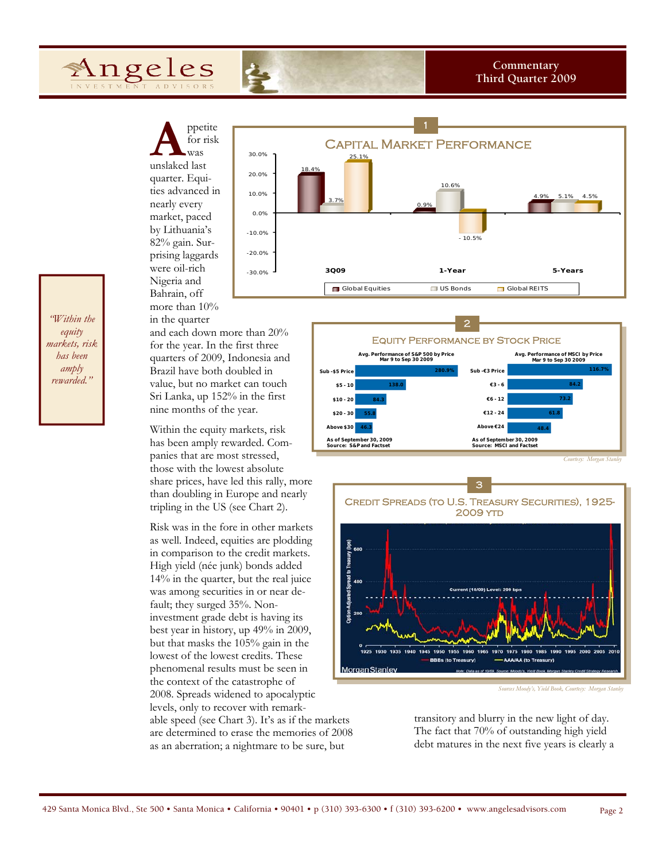**A** *p*petite for risk was unslaked last for risk was quarter. Equities advanced in nearly every market, paced by Lithuania's 82% gain. Surprising laggards were oil-rich Nigeria and Bahrain, off more than 10%

Angeles



*"Within the equity markets, risk has been amply rewarded."*

in the quarter and each down more than 20% for the year. In the first three quarters of 2009, Indonesia and Brazil have both doubled in value, but no market can touch Sri Lanka, up 152% in the first nine months of the year.

Within the equity markets, risk has been amply rewarded. Companies that are most stressed, those with the lowest absolute share prices, have led this rally, more than doubling in Europe and nearly tripling in the US (see Chart 2).

Risk was in the fore in other markets as well. Indeed, equities are plodding in comparison to the credit markets. High yield (née junk) bonds added 14% in the quarter, but the real juice was among securities in or near default; they surged 35%. Noninvestment grade debt is having its best year in history, up 49% in 2009, but that masks the 105% gain in the lowest of the lowest credits. These phenomenal results must be seen in the context of the catastrophe of 2008. Spreads widened to apocalyptic levels, only to recover with remarkable speed (see Chart 3). It's as if the markets are determined to erase the memories of 2008 as an aberration; a nightmare to be sure, but





*Sources Moody's, Yield Book, Courtesy: Morgan Stanley* 

transitory and blurry in the new light of day. The fact that 70% of outstanding high yield debt matures in the next five years is clearly a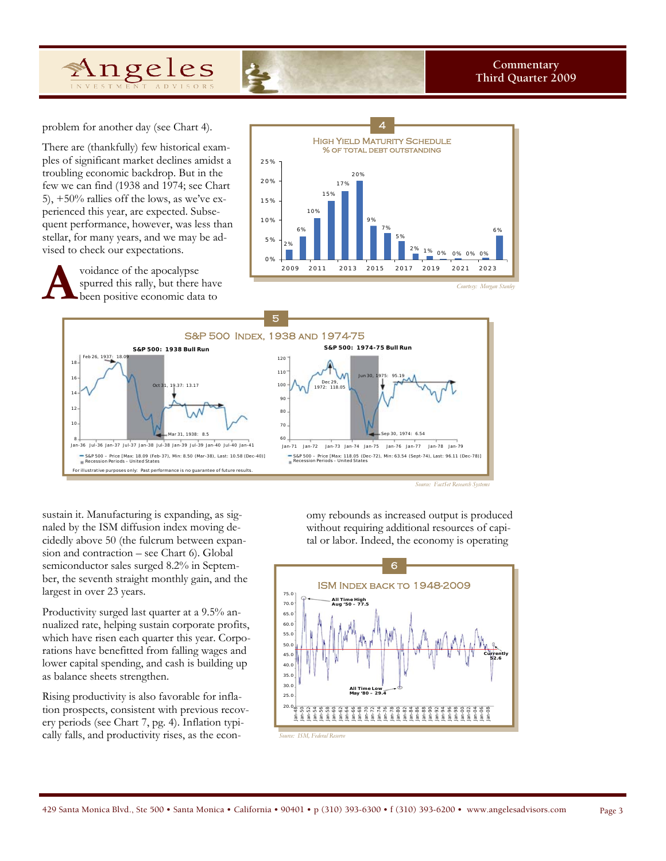

problem for another day (see Chart 4).

Angeles

There are (thankfully) few historical examples of significant market declines amidst a troubling economic backdrop. But in the few we can find (1938 and 1974; see Chart 5), +50% rallies off the lows, as we've experienced this year, are expected. Subsequent performance, however, was less than stellar, for many years, and we may be advised to check our expectations.



voidance of the apocalypse<br>spurred this rally, but there<br>been positive economic dat. spurred this rally, but there have been positive economic data to



sustain it. Manufacturing is expanding, as signaled by the ISM diffusion index moving decidedly above 50 (the fulcrum between expansion and contraction – see Chart 6). Global semiconductor sales surged 8.2% in September, the seventh straight monthly gain, and the largest in over 23 years.

Productivity surged last quarter at a 9.5% annualized rate, helping sustain corporate profits, which have risen each quarter this year. Corporations have benefitted from falling wages and lower capital spending, and cash is building up as balance sheets strengthen.

Rising productivity is also favorable for inflation prospects, consistent with previous recovery periods (see Chart 7, pg. 4). Inflation typically falls, and productivity rises, as the economy rebounds as increased output is produced without requiring additional resources of capital or labor. Indeed, the economy is operating

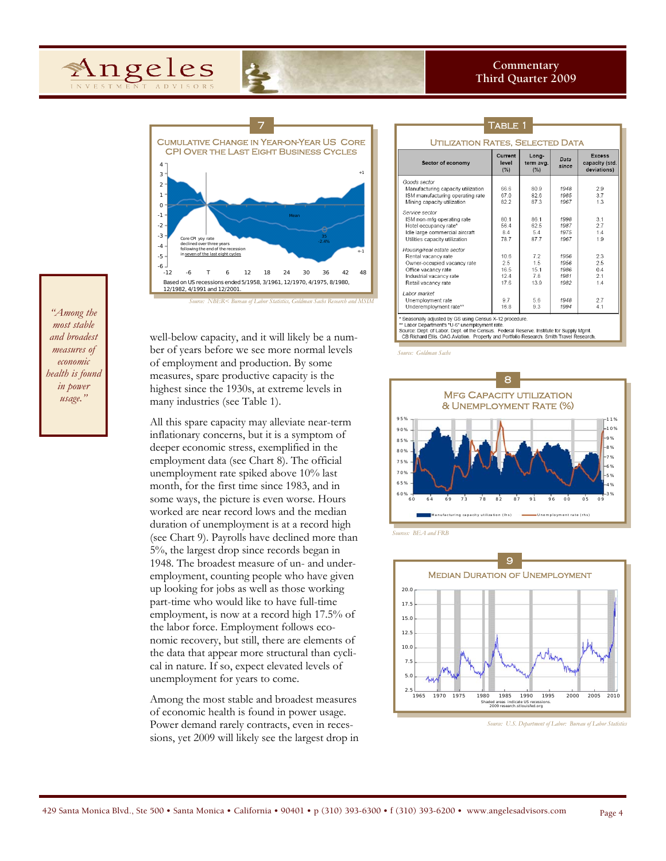



ber of years before we see more normal levels of employment and production. By some measures, spare productive capacity is the highest since the 1930s, at extreme levels in many industries (see Table 1).

All this spare capacity may alleviate near-term inflationary concerns, but it is a symptom of deeper economic stress, exemplified in the employment data (see Chart 8). The official unemployment rate spiked above 10% last month, for the first time since 1983, and in some ways, the picture is even worse. Hours worked are near record lows and the median duration of unemployment is at a record high (see Chart 9). Payrolls have declined more than 5%, the largest drop since records began in 1948. The broadest measure of un- and underemployment, counting people who have given up looking for jobs as well as those working part-time who would like to have full-time employment, is now at a record high 17.5% of the labor force. Employment follows economic recovery, but still, there are elements of the data that appear more structural than cyclical in nature. If so, expect elevated levels of unemployment for years to come.

Among the most stable and broadest measures of economic health is found in power usage. Power demand rarely contracts, even in recessions, yet 2009 will likely see the largest drop in

| 7                                                                                  |                                                                                                                                                           | <b>TABLE 1</b>                    |                                  |                                      |                                                |
|------------------------------------------------------------------------------------|-----------------------------------------------------------------------------------------------------------------------------------------------------------|-----------------------------------|----------------------------------|--------------------------------------|------------------------------------------------|
| YEAR-ON-YEAR US CORE<br><b>IGHT BUSINESS CYCLES</b><br>$+1$                        | <b>UTILIZATION RATES, SELECTED DATA</b>                                                                                                                   |                                   |                                  |                                      |                                                |
|                                                                                    | Sector of economy                                                                                                                                         | Current<br>level<br>(%)           | Long-<br>term avg.<br>(%)        | Data<br>since                        | <b>Excess</b><br>capacity (std.<br>deviations) |
|                                                                                    | Goods sector<br>Manufacturing capacity utilization<br>ISM manufacturing operating rate<br>Mining capacity utilization                                     | 66.6<br>670<br>82.2               | 80.9<br>826<br>87.3              | 1948<br>1985<br>1967                 | 2.9<br>3.7<br>1.3                              |
| Mean<br>35<br>$-2.4%$                                                              | Service sector<br>ISM non-mfg operating rate<br>Hotel occupancy rate*<br>Idle large commercial aircraft<br>Utilities capacity utilization                 | 80 1<br>564<br>8.4<br>787         | 861<br>62.5<br>5.4<br>877        | 1998<br>1987<br>1975<br>1967         | 3 <sub>1</sub><br>27<br>1.4<br>19              |
| $^{+1}$<br>48<br>42<br>18<br>24<br>30<br>36<br>3, 3/1961, 12/1970, 4/1975, 8/1980, | Housing/real estate sector<br>Rental vacancy rate<br>Owner-occupied vacancy rate<br>Office vacancy rate<br>Industrial vacancy rate<br>Retail vacancy rate | 10.6<br>25<br>16.5<br>12.4<br>176 | 7.2<br>1.5<br>15.1<br>7.8<br>139 | 1956<br>1956<br>1986<br>1981<br>1982 | 2.3<br>2.5<br>0.4<br>2.1<br>14                 |
| abor Statistics, Goldman Sachs Research and MSIM                                   | I abor market<br>Unemployment rate<br>Underemployment rate**                                                                                              | 9.7<br>16.8                       | 5.6<br>93                        | 1948<br>1994                         | 2.7<br>4.1                                     |

\* Seasonally adjusted by GS using Census X-12 procedure.<br>\*\* Labor Department's "U-6" unemployment rate.<br>Source: Dept. of Labor. Dept. of the Census. Federal Reserve. Institute for Supply Mgmt.<br>CB Richard Ellis. OAG Aviatio

*Source: Goldman Sachs* 



*Sources: BEA and FRB* 



*Source: U.S. Department of Labor: Bureau of Labor Statistics* 

well-below capacity, and it will likely be a num-*Source: NBER< Bureau of Labor Statistics, Goldman Sachs Research and MSIM* 

*"Among the most stable and broadest measures of economic health is found in power usage."*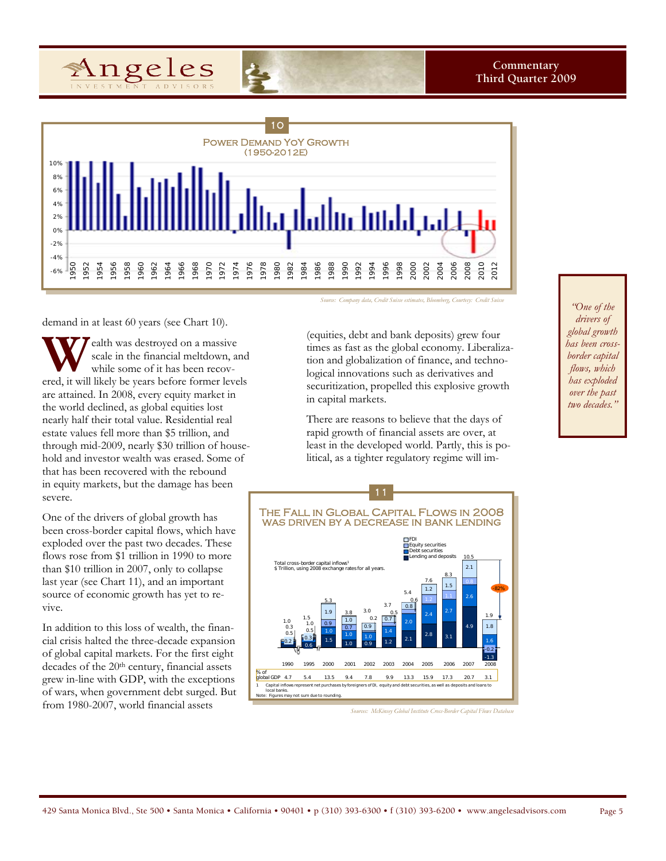



demand in at least 60 years (see Chart 10).

**W** ealth was destroyed on a massive scale in the financial meltdown, and while some of it has been recovered, it will likely be years before former levels scale in the financial meltdown, and while some of it has been recovare attained. In 2008, every equity market in the world declined, as global equities lost nearly half their total value. Residential real estate values fell more than \$5 trillion, and through mid-2009, nearly \$30 trillion of household and investor wealth was erased. Some of that has been recovered with the rebound in equity markets, but the damage has been severe.

One of the drivers of global growth has been cross-border capital flows, which have exploded over the past two decades. These flows rose from \$1 trillion in 1990 to more than \$10 trillion in 2007, only to collapse last year (see Chart 11), and an important source of economic growth has yet to revive.

In addition to this loss of wealth, the financial crisis halted the three-decade expansion of global capital markets. For the first eight decades of the 20<sup>th</sup> century, financial assets grew in-line with GDP, with the exceptions of wars, when government debt surged. But from 1980-2007, world financial assets

*Source: Company data, Credit Suisse estimates, Bloomberg, Courtesy: Credit Suisse* 

(equities, debt and bank deposits) grew four times as fast as the global economy. Liberalization and globalization of finance, and technological innovations such as derivatives and securitization, propelled this explosive growth in capital markets.

There are reasons to believe that the days of rapid growth of financial assets are over, at least in the developed world. Partly, this is political, as a tighter regulatory regime will im-

The Fall in Global Capital Flows in 2008 was driven by a decrease in bank lending 1990 1995 2000 2001 2002 2003 2004 2005 2006 2007 2008 % of global GDP 4.7 5.4 13.5 9.4 7.8 9.9 13.3 15.9 17.3 20.7 3.1 n<br>**influous represent in** local banks. Note: Figures may not sum due to rounding. -82% 1.9 1.8 1.6 -0.2 -1.3 10.5  $2.1$ 0.8 2.6 4.9 8.3 1.5 2.7 3.1 7.6 1.2 2.4 2.8 5.4 0.6 0.8 2.0 2.1 3.7 0.5 0.7 1.4 1.2 3.0  $0.2$ 0.9 1.0 0.9 3.8 1.0 0.7 1.0 1.0 5.3 1.9 0.9 1.0 1.5 1.5 1.0 0.5 0.3 0.6 1.0 0.3 0.5 0.2 Total cross-border capital inflows1 \$ Trillion, using 2008 exchange rates for all years. FDI Equity securities Debt securities Lending and deposits 11

**Sources: McKinsey Global Institute Cross-Border Capital Flows Datab** 

*"One of the drivers of global growth has been crossborder capital flows, which has exploded over the past two decades."*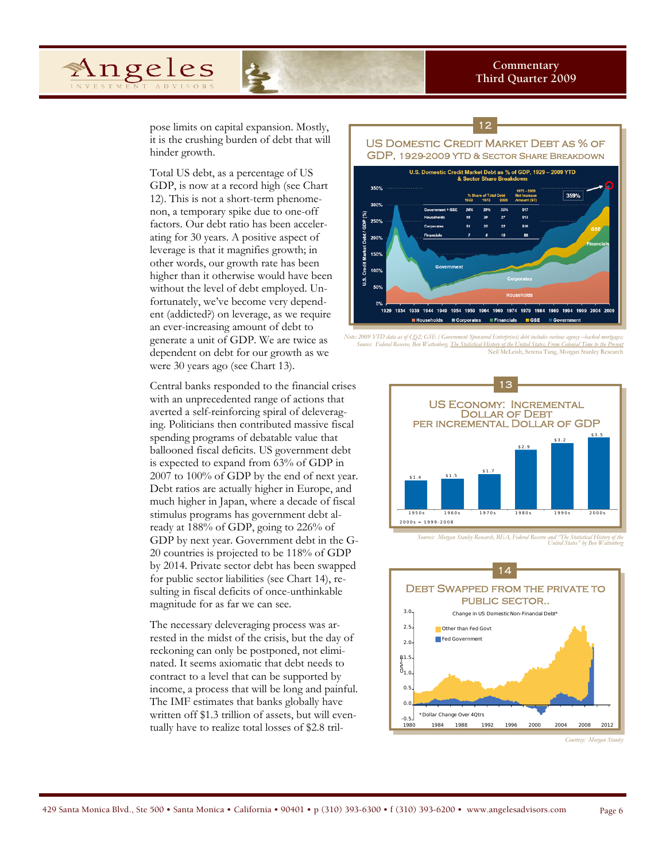Angeles

pose limits on capital expansion. Mostly, it is the crushing burden of debt that will hinder growth.

Total US debt, as a percentage of US GDP, is now at a record high (see Chart 12). This is not a short-term phenomenon, a temporary spike due to one-off factors. Our debt ratio has been accelerating for 30 years. A positive aspect of leverage is that it magnifies growth; in other words, our growth rate has been higher than it otherwise would have been without the level of debt employed. Unfortunately, we've become very dependent (addicted?) on leverage, as we require an ever-increasing amount of debt to generate a unit of GDP. We are twice as dependent on debt for our growth as we were 30 years ago (see Chart 13).

Central banks responded to the financial crises with an unprecedented range of actions that averted a self-reinforcing spiral of deleveraging. Politicians then contributed massive fiscal spending programs of debatable value that ballooned fiscal deficits. US government debt is expected to expand from 63% of GDP in 2007 to 100% of GDP by the end of next year. Debt ratios are actually higher in Europe, and much higher in Japan, where a decade of fiscal stimulus programs has government debt already at 188% of GDP, going to 226% of GDP by next year. Government debt in the G-20 countries is projected to be 118% of GDP by 2014. Private sector debt has been swapped for public sector liabilities (see Chart 14), resulting in fiscal deficits of once-unthinkable magnitude for as far we can see.

The necessary deleveraging process was arrested in the midst of the crisis, but the day of reckoning can only be postponed, not eliminated. It seems axiomatic that debt needs to contract to a level that can be supported by income, a process that will be long and painful. The IMF estimates that banks globally have written off \$1.3 trillion of assets, but will eventually have to realize total losses of \$2.8 tril-



*Note: 2009 YTD data as of CQ2; GSE ( Government Sponsored Enterprises) debt includes various agency –backed mortgages; Source: Federal Reserve, Ben Wattenberg, The Statistical History of the United States, From Colonial Time to the Present* Neil McLeish, Serena Tang, Morgan Stanley Research



*Sources: Morgan Stanley Research, BEA, Federal Reserve and "The Statistical History of the United States" by Ben Wattenberg* 



*Courtesy: Morgan Stanle*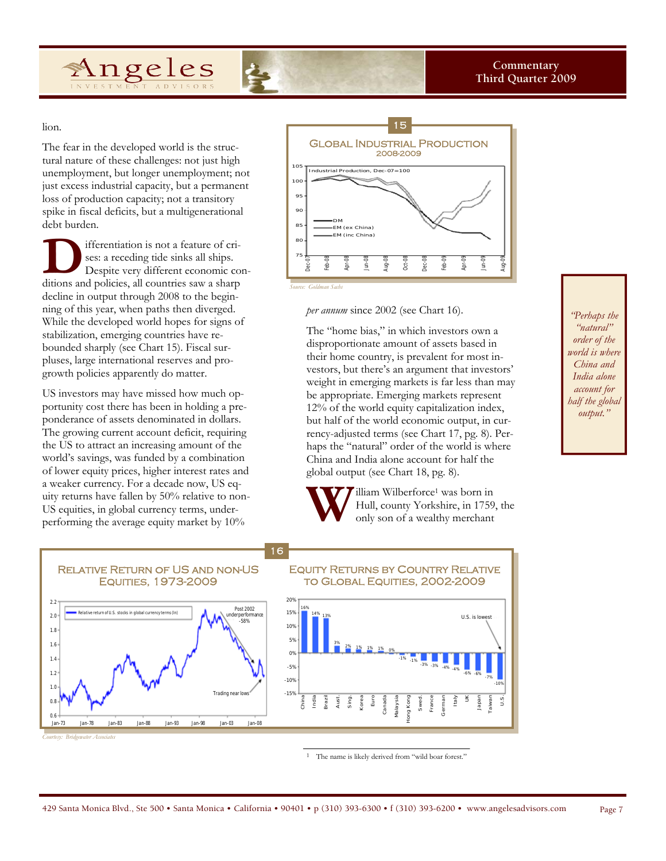

lion.

The fear in the developed world is the structural nature of these challenges: not just high unemployment, but longer unemployment; not just excess industrial capacity, but a permanent loss of production capacity; not a transitory spike in fiscal deficits, but a multigenerational debt burden.

ifferentiation is not a feature of crises: a receding tide sinks all ships. Despite very different economic conditions and policies, all countries saw a sharp decline in output through 2008 to the beginning of this year, when paths then diverged. While the developed world hopes for signs of stabilization, emerging countries have rebounded sharply (see Chart 15). Fiscal surpluses, large international reserves and progrowth policies apparently do matter.

US investors may have missed how much opportunity cost there has been in holding a preponderance of assets denominated in dollars. The growing current account deficit, requiring the US to attract an increasing amount of the world's savings, was funded by a combination of lower equity prices, higher interest rates and a weaker currency. For a decade now, US equity returns have fallen by 50% relative to non-US equities, in global currency terms, underperforming the average equity market by 10%

elative return of U.S. stocks in global currency terms (In)

Jan-73 Jan-78 Jan-83 Jan-88 Jan-93 Jan-98 Jan-03 Jan-08

Trading n

-58%



*per annum* since 2002 (see Chart 16).

The "home bias," in which investors own a disproportionate amount of assets based in their home country, is prevalent for most investors, but there's an argument that investors' weight in emerging markets is far less than may be appropriate. Emerging markets represent 12% of the world equity capitalization index, but half of the world economic output, in currency-adjusted terms (see Chart 17, pg. 8). Perhaps the "natural" order of the world is where China and India alone account for half the global output (see Chart 18, pg. 8).

Hull, county Yorkshire, in 1759, the only son of a wealthy merchant

**W** Hull, county Yorkshire, in 1759<br>only son of a wealthy merchant Relative Return of US and non-US Equities, 1973-2009 Equity Returns by Country Relative to Global Equities, 2002-2009 16 Post 2002 derperformanc 20% 15% 16%



*Courtesy: Bridgewater Associates* 

2.2  $2.0$ 1.8 1.6 1.4 1.2 1.0 0.8 0.6

1 The name is likely derived from "wild boar forest."

*"Perhaps the "natural" order of the world is where China and India alone account for half the global output."* 

429 Santa Monica Blvd., Ste 500 • Santa Monica • California • 90401 • p (310) 393-6300 • f (310) 393-6200 • www.angelesadvisors.com Page 7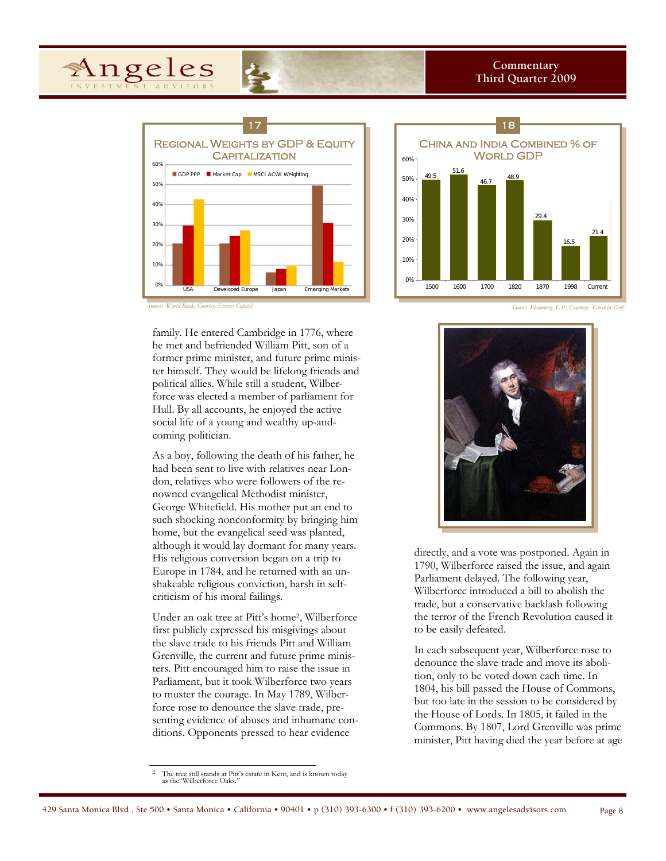





family. He entered Cambridge in 1776, where he met and befriended William Pitt, son of a former prime minister, and future prime minister himself. They would be lifelong friends and political allies. While still a student, Wilberforce was elected a member of parliament for Hull. By all accounts, he enjoyed the active social life of a young and wealthy up-andcoming politician.

As a boy, following the death of his father, he had been sent to live with relatives near London, relatives who were followers of the renowned evangelical Methodist minister, George Whitefield. His mother put an end to such shocking nonconformity by bringing him home, but the evangelical seed was planted, although it would lay dormant for many years. His religious conversion began on a trip to Europe in 1784, and he returned with an unshakeable religious conviction, harsh in selfcriticism of his moral failings.

Under an oak tree at Pitt's home2, Wilberforce first publicly expressed his misgivings about the slave trade to his friends Pitt and William Grenville, the current and future prime ministers. Pitt encouraged him to raise the issue in Parliament, but it took Wilberforce two years to muster the courage. In May 1789, Wilberforce rose to denounce the slave trade, presenting evidence of abuses and inhumane conditions. Opponents pressed to hear evidence

directly, and a vote was postponed. Again in 1790, Wilberforce raised the issue, and again Parliament delayed. The following year, Wilberforce introduced a bill to abolish the trade, but a conservative backlash following the terror of the French Revolution caused it to be easily defeated.

In each subsequent year, Wilberforce rose to denounce the slave trade and move its abolition, only to be voted down each time. In 1804, his bill passed the House of Commons, but too late in the session to be considered by the House of Lords. In 1805, it failed in the Commons. By 1807, Lord Grenville was prime minister, Pitt having died the year before at age

<sup>2</sup> The tree still stands at Pitt's estate in Kent, and is known today as the "Wilberforce Oaks